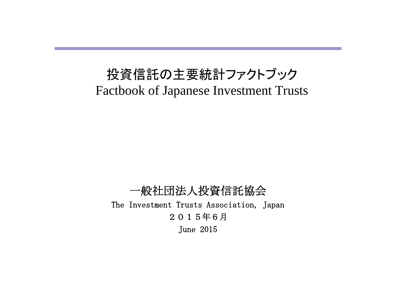# 投資信託の主要統計ファクトブック Factbook of Japanese Investment Trusts

一般社団法人投資信託協会 The Investment Trusts Association, Japan 2015年6月 June 2015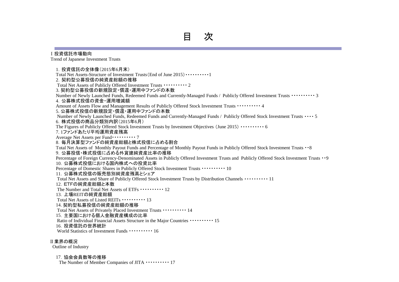#### Ⅰ投資信託市場動向

Trend of Japanese Investment Trusts

1.投資信託の全体像(2015年6月末) Total Net Assets-Structure of Investment Trusts(End of June 2015)・・・・・・・・・・1 2. 契約型公募投信の純資産総額の推移 Total Net Assets of Publicly Offered Investment Trusts ・・・・・・・・・・ 2 3. 契約型公募投信の新規設定・償還・運用中ファンドの本数 Number of Newly Launched Funds, Redeemed Funds and Currently-Managed Funds / Publicly Offered Investment Trusts ・・・・・・・・・・ 3 4.公募株式投信の資金・運用増減額 Amount of Assets Flow and Management Results of Publicly Offered Stock Investment Trusts ・・・・・・・・・・ 4 5. 公募株式投信の新規設定・償還・運用中ファンドの本数 Number of Newly Launched Funds, Redeemed Funds and Currently-Managed Funds / Publicly Offered Stock Investment Trusts ・・・・ 5 6.株式投信の商品分類別内訳(2015年6月) The Figures of Publicly Offered Stock Investment Trusts by Investment Objectives (June 2015) ・・・・・・・・・・ 6 7. 1ファンドあたり平均運用資産残高 Average Net Assets per Fund・・・・・・・・・・ 7 8.毎月決算型ファンドの純資産総額と株式投信に占める割合 Total Net Assets of Monthly Payout Funds and Percentage of Monthly Payout Funds in Publicly Offered Stock Investment Trusts ・・8 9.公募投信・株式投信に占める外貨建純資産比率の推移 Percentage of Foreign Currency-Denominated Assets in Publicly Offered Investment Trusts and Publicly Offered Stock Investment Trusts ・・9 10. 公募株式投信における国内株式への投資比率 Percentage of Domestic Shares in Publicly Offered Stock Investment Trusts ・・・・・・・・・・ 10 11.公募株式投信の販売態別純資産残高とシェア Total Net Assets and Share of Publicly Offered Stock Investment Trusts by Distribution Channels ・・・・・・・・・・ 11 12.ETFの純資産総額と本数 The Number and Total Net Assets of ETFs  $\cdots$  12 13.上場REITの純資産総額 Total Net Assets of Listed REITs ・・・・・・・・・・ 13 14. 契約型私募投信の純資産総額の推移 Total Net Assets of Privately Placed Investment Trusts ・・・・・・・・・・ 14 15.主要国における個人金融資産構成の比率 Ratio of Individual Financial Assets Structure in the Major Countries ・・・・・・・・・・ 15 16.投資信託の世界統計 World Statistics of Investment Funds ・・・・・・・・・・ 16 Ⅱ業界の概況

Outline of Industry

#### 17.協会会員数等の推移

The Number of Member Companies of JITA  $\cdots$   $\cdots$  17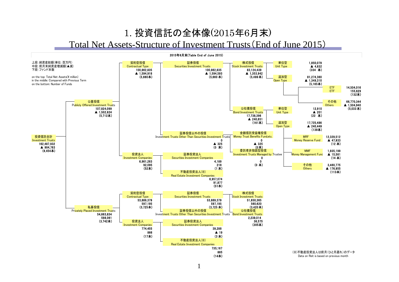#### 1. 投資信託の全体像(2015年6月末) Total Net Assets-Structure of Investment Trusts(End of June 2015)

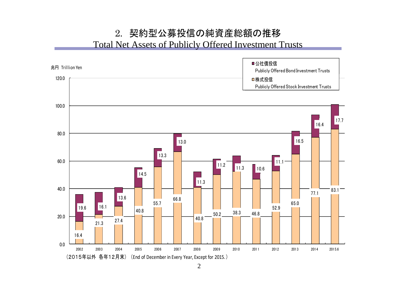#### 2. 契約型公募投信の純資産総額の推移 Total Net Assets of Publicly Offered Investment Trusts

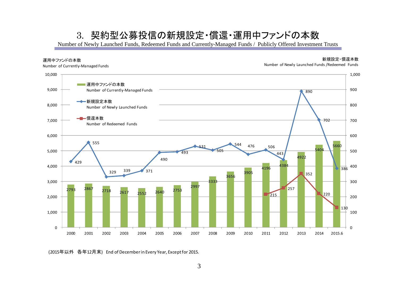#### 3. 契約型公募投信の新規設定・償還・運用中ファンドの本数

Number of Newly Launched Funds, Redeemed Funds and Currently-Managed Funds / Publicly Offered Investment Trusts



(2015年以外 各年12月末) End of December in Every Year, Except for 2015.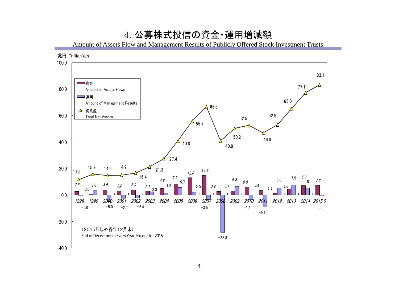#### 4. 公募株式投信の資金・運用増減額

Amount of Assets Flow and Management Results of Publicly Offered Stock Investment Trusts

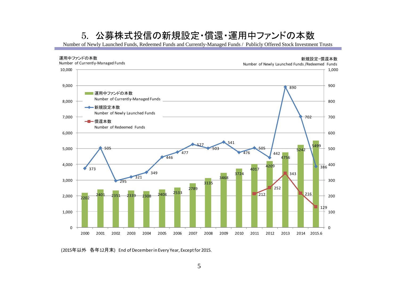#### 5. 公募株式投信の新規設定・償還・運用中ファンドの本数

Number of Newly Launched Funds, Redeemed Funds and Currently-Managed Funds / Publicly Offered Stock Investment Trusts



(2015年以外 各年12月末) End of December in Every Year, Except for 2015.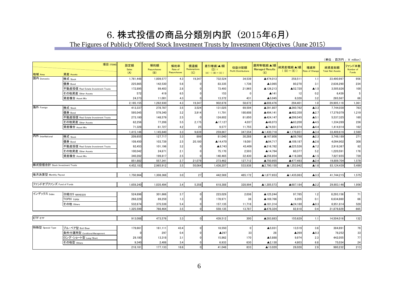## 6. 株式投信の商品分類別内訳 (2015年6月)

The Figures of Publicly Offered Stock Investment Trusts by Investment Objectives (June 2015)

|                                |                                     |                            |                           |                               |                           |                                              |                                      |                                            |                            |                       | (単位:百万円;¥ million)               |                              |
|--------------------------------|-------------------------------------|----------------------------|---------------------------|-------------------------------|---------------------------|----------------------------------------------|--------------------------------------|--------------------------------------------|----------------------------|-----------------------|----------------------------------|------------------------------|
| 地域 Area                        | 項目 ITEMS<br>資産 Assets               | 設定額<br><b>Sales</b><br>(A) | 解約額<br>Repurchases<br>(B) | 解約率<br>Rate of<br>Repurchases | 償還額<br>Redemptions<br>(C) | 差引増減(▲)額<br>$(D) =$<br>$(A) - ( (B) + (C) )$ | 収益分配額<br><b>Profit Distributions</b> | 運用等増減(▲)額<br><b>Managed Results</b><br>(E) | 純資産増減(▲)額<br>$((D) + (E))$ | 増減率<br>Rate of Change | 純資産総額<br><b>Total Net Assets</b> | ファンド本数<br>Number of<br>Funds |
| 国内 Domestic                    | 株式 Stock                            | 1,761,448                  | 1,009,577                 | 4.3                           | 19,347                    | 732,524                                      | 34,539                               | ▲474,013                                   | 258,511                    | 1.1                   | 23,490,997                       | 956                          |
|                                | 債券 Bond                             | 225,865                    | 142,530                   | 5.6                           | 0                         | 83,335                                       | 1,736                                | ▲3,065                                     | 80,270                     | 3.1                   | 2,636,290                        | 234                          |
|                                | 不動産投信 Real Estate Investment Trusts | 172,895                    | 99,403                    | 2.8                           | $\Omega$                  | 73,493                                       | 21,965                               | ▲126,213                                   | ▲52,720                    | $\blacktriangle$ 1.5  | 3,505,826                        | 100                          |
|                                | その他資産 Other Assets                  | 572                        | 419                       | 6.5                           | $\Omega$                  | 153                                          | $\overline{0}$                       | ▲141                                       | 12                         | 0.2                   | 6,439                            | 5                            |
|                                | 資産複合 Asset Mix                      | 24,373                     | 11,001                    | 4.3                           | 0                         | 13,372                                       | 431                                  | $\blacktriangle$ 5,045                     | 8,328                      | 3.2                   | 265,567                          | 66                           |
|                                |                                     | 2,185,155                  | 1,262,930                 | 4.3                           | 19,347                    | 902,878                                      | 58,672                               | ▲608,476                                   | 294,401                    | 1.0                   | 29,905,119                       | 1,361                        |
| 海外 Foreign                     | 株式 Stock                            | 413,337                    | 278,787                   | 3.5                           | 3,524                     | 131,025                                      | 69,504                               | ▲391,807                                   | ▲260,782                   | $\blacktriangle$ 3.3  | 7,744,030                        | 783                          |
|                                | 債券 Bond                             | 595,045                    | 579,340                   | 3.2                           | 3,914                     | 11,791                                       | 180,608                              | ▲494,141                                   | ▲482,350                   | A2.7                  | 17,379,079                       | 1,219                        |
|                                | 不動産投信 Real Estate Investment Trusts | 273,180                    | 148,579                   | 2.5                           | $\Omega$                  | 124,602                                      | 81,650                               | ▲424,147                                   | ▲299,545                   | $\blacktriangle$ 5.1  | 5,537,325                        | 160                          |
|                                | その他資産 Other Assets                  | 62,256                     | 77,208                    | 5.5                           | 2,175                     | ▲17,127                                      | 4,037                                | ▲46,073                                    | ▲63,200                    | $\blacktriangle$ 4.5  | 1,334,269                        | 236                          |
|                                | 資産複合 Asset Mix                      | 71,328                     | 61,727                    | 4.2                           | 25                        | 9,577                                        | 11,755                               | ▲74,551                                    | ▲64,974                    | A4.4                  | 1,414,914                        | 162                          |
|                                |                                     | 1,415,146                  | 1,145,640                 | 3.3                           | 9,639                     | 259,867                                      | 347,554                              | ▲1,430,718                                 | ▲1,170,851                 | $\blacktriangle$ 3.4  | 33,409,616                       | 2,560                        |
| 内外 InterNational               | 株式 Stock                            | 209,655                    | 127,717                   | 3.3                           | 899                       | 81,040                                       | 30,288                               | ▲167,808                                   | ▲86,768                    | $\blacktriangle$ 2.3  | 3,748,189                        | 271                          |
|                                | 債券 Bond                             | 109,450                    | 103,739                   | 2.5                           | 20,180                    | ▲14,470                                      | 19,081                               | ▲94,717                                    | ▲109,187                   | $\blacktriangle$ 2.6  | 4,094,902                        | 308                          |
|                                | 不動産投信 Real Estate Investment Trusts | 92,453                     | 101,196                   | 3.2                           | $\Omega$                  | ▲8,743                                       | 43,409                               | ▲216,782                                   | ▲225,526                   | $\blacktriangle$ 7.2  | 2,918,367                        | 82                           |
|                                | その他資産 Other Assets                  | 100,042                    | 24,871                    | 2.1                           |                           | 75,170                                       | 2,503                                | ▲14,794                                    | 60.377                     | 5.2                   | 1,220,591                        | 178                          |
|                                | 資産複合 Asset Mix                      | 340,282                    | 199,817                   | 2.5                           | $\Omega$                  | 140,465                                      | 32,430                               | ▲256,854                                   | ▲116,389                   | $\blacktriangle$ 1.5  | 7,827,655                        | 739                          |
|                                |                                     | 851,882                    | 557,341                   | 2.7                           | 21,079                    | 273,462                                      | 127,712                              | ▲750,955                                   | ▲477,493                   | $\triangle$ 2.4       | 19,809,704                       | 1,578                        |
| 株式投信合計 Stock Investment Trusts |                                     | 4,452,183                  | 2,965,912                 | 3.5                           | 50,064                    | 1,436,207                                    | 533,938                              | ▲2,790,150                                 | ▲1,353,942                 | A1.6                  | 83,124,439                       | 5,499                        |
| 毎月決算型 Monthly Payout           |                                     | 1,750,964                  | 1,308,368                 | 3.0                           | 27                        | 442,569                                      | 485,172                              | ▲1,877,653                                 | ▲1,435,083                 | $\blacktriangle$ 3.3  | 41,744,215                       | 1,575                        |
| ファンドオブファンズ Fund of Funds       |                                     | 1,659,240                  | 1,035,494                 | 3.4                           | 5,358                     | 618,388                                      | 328,994                              | ▲1,305,573                                 | ▲687,184                   | $\blacktriangle$ 2.2  | 29,903,146                       | 1,956                        |
|                                |                                     |                            |                           |                               |                           |                                              |                                      |                                            |                            |                       |                                  |                              |
| インデックス Index                   | 日経225 NIKKEI225                     | 524,696                    | 301,666                   | 3.7                           | $\overline{0}$            | 223,029                                      | 2,036                                | ▲125,244                                   | 97.785                     | 1.2                   | 8,293,156                        | 71                           |
|                                | ГОРІХ торіх                         | 268.229                    | 89,259                    | 1.3                           | $\Omega$                  | 178.971                                      | 36                                   | ▲169,766                                   | 9.205                      | 0.1                   | 6,634,860                        | 66                           |
|                                | その他 Others                          | 532,674                    | 375,539                   | 5.4                           | $\overline{0}$            | 157,135                                      | 11,716                               | ▲181,314                                   | ▲24,180                    | $\triangle$ 0.3       | 6,951,814                        | 528                          |
|                                |                                     | 1,325,599                  | 766,464                   | 3.5                           | 0                         | 559,135                                      | 13,787                               | ▲476,324                                   | 82,810                     | 0.4                   | 21,879,829                       | 665                          |
| ETF <sub>ETF</sub>             |                                     | 913.088                    | 473,576                   | 3.3                           | $\circ$                   | 439,512                                      | 300                                  | ▲283,883                                   | 155,629                    | 1.1                   | 14,504,016                       | 132                          |
|                                |                                     |                            |                           |                               |                           |                                              |                                      |                                            |                            |                       |                                  |                              |
| 特殊型 Special Type               | ブル・ベア型 Bull/Bear                    | 179,661                    | 161,111                   | 43.4                          | $\overline{0}$            | 18,550                                       | $\Omega$                             | ▲5,031                                     | 13,519                     | 3.6                   | 384,891                          | 79                           |
|                                | 条件付運用型 Conditional Management       |                            | 297                       | 0.4                           | $\Omega$                  | ▲297                                         | 33                                   | 28                                         | ▲269                       | $\triangle$ 0.3       | 78,252                           | 33                           |
|                                | ロング・ショート型 Long/Short                | 29.180                     | 13,318                    | 3.1                           | $\Omega$                  | 15,862                                       | 170                                  | ▲5,888                                     | 9,974                      | 2.3                   | 442,055                          | 77                           |
|                                | その他型 Others                         | 9.340                      | 2,408                     | 3.4                           | $\Omega$                  | 6,933                                        | 630                                  | $\blacktriangle$ 2,130                     | 4,803                      | 6.8                   | 75,034                           | 24                           |
|                                |                                     | 218,181                    | 177,133                   | 18.6                          | $\Omega$                  | 41.048                                       | 833                                  | ▲13,020                                    | 28,028                     | 2.9                   | 980,232                          | 213                          |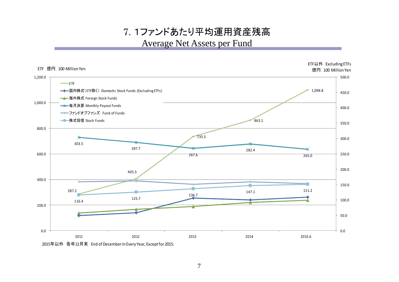## 7. 1ファンドあたり平均運用資産残高 Average Net Assets per Fund



7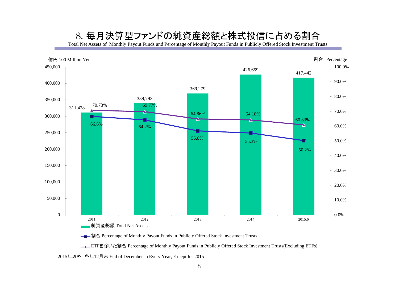#### 8. 毎月決算型ファンドの純資産総額と株式投信に占める割合

Total Net Assets of Monthly Payout Funds and Percentage of Monthly Payout Funds in Publicly Offered Stock Investment Trusts



**→■→割合** Percentage of Monthly Payout Funds in Publicly Offered Stock Investment Trusts

<u>■▲</u>ETFを除いた割合 Percentage of Monthly Payout Funds in Publicly Offered Stock Investment Trusts(Excluding ETFs)

2015年以外 各年12月末 End of December in Every Year, Except for 2015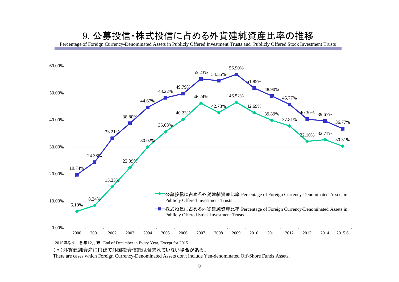#### 9. 公募投信・株式投信に占める外貨建純資産比率の推移

Percentage of Foreign Currency-Denominated Assets in Publicly Offered Investment Trusts and Publicly Offered Stock Investment Trusts



2015年以外 各年12月末 End of December in Every Year, Except for 2015

(\*)外貨建純資産に円建て外国投資信託は含まれていない場合がある。

There are cases which Foreign Currency-Denominated Assets don't include Yen-denominated Off-Shore Funds Assets.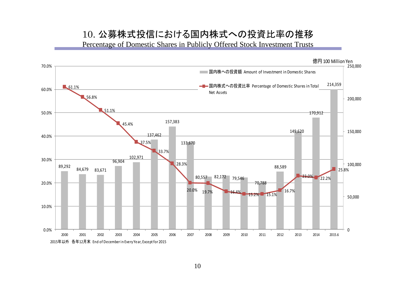#### 10. 公募株式投信における国内株式への投資比率の推移

Percentage of Domestic Shares in Publicly Offered Stock Investment Trusts

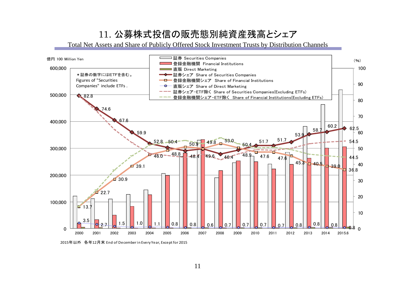# 11. 公募株式投信の販売態別純資産残高とシェア

Total Net Assets and Share of Publicly Offered Stock Investment Trusts by Distribution Channels



2015年以外 各年12月末 End of December in Every Year, Except for 2015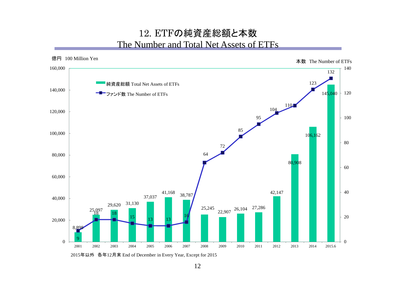#### 12. ETFの純資産総額と本数 The Number and Total Net Assets of ETFs



2015年以外 各年12月末 End of December in Every Year, Except for 2015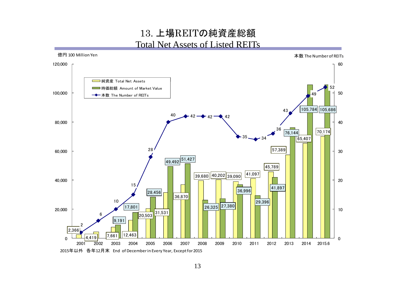#### 13. 上場REITの純資産総額 Total Net Assets of Listed REITs

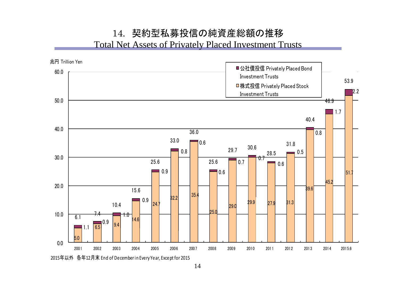#### 14. 契約型私募投信の純資産総額の推移 Total Net Assets of Privately Placed Investment Trusts

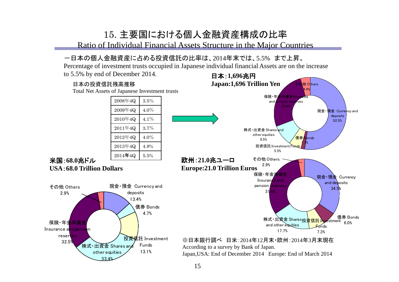### 15. 主要国における個人金融資産構成の比率

Ratio of Individual Financial Assets Structure in the Major Countries

#### -日本の個人金融資産に占める投資信託の比率は、2014年末では、5.5% まで上昇。

Percentage of investment trusts occupied in Japanese individual financial Assets are on the increase

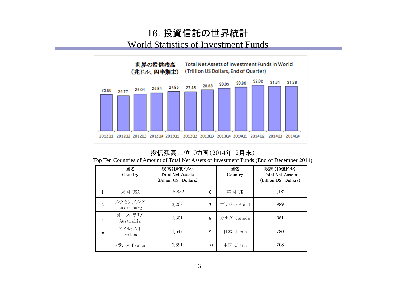### 16. 投資信託の世界統計 World Statistics of Investment Funds



#### 投信残高上位10カ国(2014年12月末)

Top Ten Countries of Amount of Total Net Assets of Investment Funds (End of December 2014)

|   | 国名<br>Country         | 残高(10億ドル)<br><b>Total Net Assets</b><br>(Billion US Dollars) |    | 国名<br>Country | 残高(10億ドル)<br><b>Total Net Assets</b><br>(Billion US Dollars) |  |
|---|-----------------------|--------------------------------------------------------------|----|---------------|--------------------------------------------------------------|--|
|   | 米国 USA                | 15,852                                                       | 6  | 英国 UK         | 1,182                                                        |  |
| 2 | ルクセンブルグ<br>Luxembourg | 3,208                                                        | 7  | ブラジル Brazil   | 989                                                          |  |
| 3 | オーストラリア<br>Australia  | 1,601                                                        | 8  | カナダ Canada    | 981                                                          |  |
| 4 | アイルランド<br>Ireland     | 1,547                                                        | 9  | 日本 Japan      | 780                                                          |  |
| 5 | フランス France           | 1,391                                                        | 10 | 中国<br>China   | 708                                                          |  |